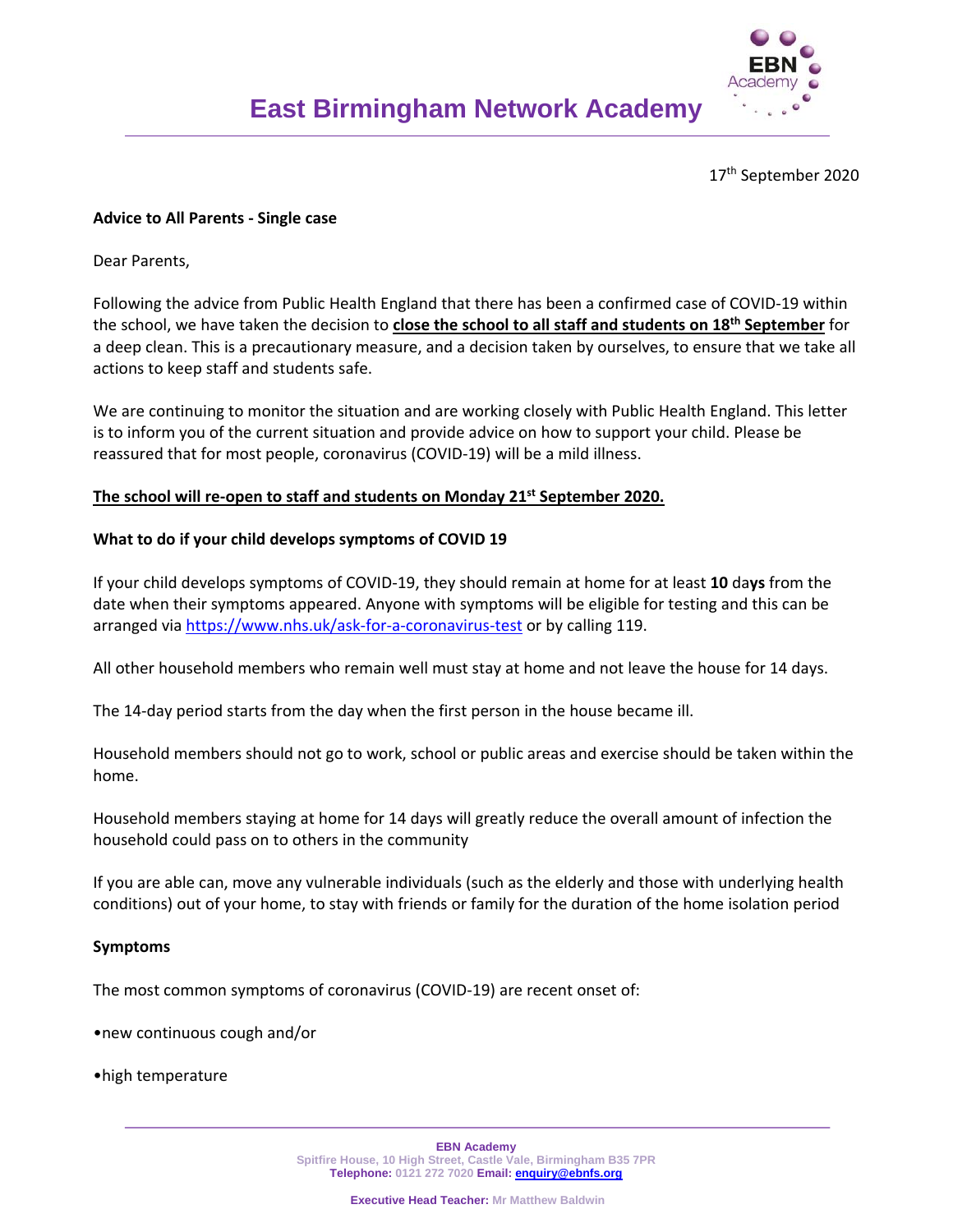

17th September 2020

# **Advice to All Parents ‐ Single case**

Dear Parents,

Following the advice from Public Health England that there has been a confirmed case of COVID‐19 within the school, we have taken the decision to **close the school to all staff and students on 18th September** for a deep clean. This is a precautionary measure, and a decision taken by ourselves, to ensure that we take all actions to keep staff and students safe.

We are continuing to monitor the situation and are working closely with Public Health England. This letter is to inform you of the current situation and provide advice on how to support your child. Please be reassured that for most people, coronavirus (COVID‐19) will be a mild illness.

# **The school will re‐open to staff and students on Monday 21st September 2020.**

# **What to do if your child develops symptoms of COVID 19**

If your child develops symptoms of COVID‐19, they should remain at home for at least **10** da**ys** from the date when their symptoms appeared. Anyone with symptoms will be eligible for testing and this can be arranged via https://www.nhs.uk/ask‐for‐a‐coronavirus‐test or by calling 119.

All other household members who remain well must stay at home and not leave the house for 14 days.

The 14‐day period starts from the day when the first person in the house became ill.

Household members should not go to work, school or public areas and exercise should be taken within the home.

Household members staying at home for 14 days will greatly reduce the overall amount of infection the household could pass on to others in the community

If you are able can, move any vulnerable individuals (such as the elderly and those with underlying health conditions) out of your home, to stay with friends or family for the duration of the home isolation period

### **Symptoms**

The most common symptoms of coronavirus (COVID‐19) are recent onset of:

•new continuous cough and/or

•high temperature